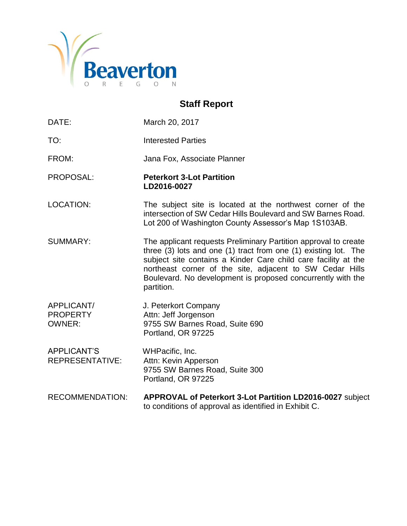

## **Staff Report**

DATE: March 20, 2017 TO: Interested Parties FROM: Jana Fox, Associate Planner PROPOSAL: **Peterkort 3-Lot Partition LD2016-0027** LOCATION: The subject site is located at the northwest corner of the intersection of SW Cedar Hills Boulevard and SW Barnes Road. Lot 200 of Washington County Assessor's Map 1S103AB. SUMMARY: The applicant requests Preliminary Partition approval to create three (3) lots and one (1) tract from one (1) existing lot. The subject site contains a Kinder Care child care facility at the northeast corner of the site, adjacent to SW Cedar Hills Boulevard. No development is proposed concurrently with the partition. APPLICANT/ J. Peterkort Company PROPERTY Attn: Jeff Jorgenson OWNER: 9755 SW Barnes Road, Suite 690 Portland, OR 97225 APPLICANT'S WHPacific, Inc. REPRESENTATIVE: Attn: Kevin Apperson 9755 SW Barnes Road, Suite 300 Portland, OR 97225 RECOMMENDATION: **APPROVAL of Peterkort 3-Lot Partition LD2016-0027** subject to conditions of approval as identified in Exhibit C.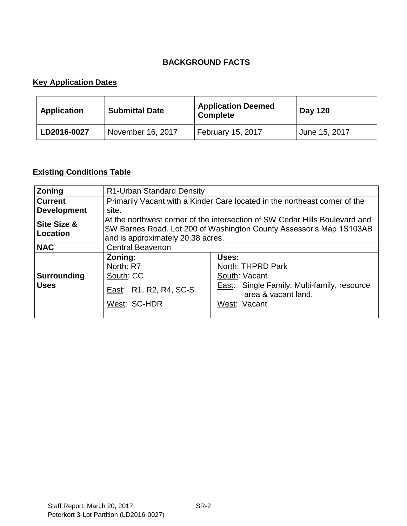## **BACKGROUND FACTS**

## **Key Application Dates**

| <b>Application</b> | <b>Submittal Date</b> | <b>Application Deemed</b><br><b>Complete</b> | <b>Day 120</b> |
|--------------------|-----------------------|----------------------------------------------|----------------|
| LD2016-0027        | November 16, 2017     | February 15, 2017                            | June 15, 2017  |

## **Existing Conditions Table**

| Zoning                            | R1-Urban Standard Density                                                                                                                                                               |                                                                                                                                          |  |
|-----------------------------------|-----------------------------------------------------------------------------------------------------------------------------------------------------------------------------------------|------------------------------------------------------------------------------------------------------------------------------------------|--|
| <b>Current</b>                    | Primarily Vacant with a Kinder Care located in the northeast corner of the                                                                                                              |                                                                                                                                          |  |
| <b>Development</b>                | site.                                                                                                                                                                                   |                                                                                                                                          |  |
| Site Size &<br>Location           | At the northwest corner of the intersection of SW Cedar Hills Boulevard and<br>SW Barnes Road. Lot 200 of Washington County Assessor's Map 1S103AB<br>and is approximately 20.38 acres. |                                                                                                                                          |  |
| <b>NAC</b>                        | <b>Central Beaverton</b>                                                                                                                                                                |                                                                                                                                          |  |
| <b>Surrounding</b><br><b>Uses</b> | Zoning:<br>North: R7<br>South: CC<br>East: R1, R2, R4, SC-S<br>West: SC-HDR                                                                                                             | Uses:<br>North: THPRD Park<br>South: Vacant<br><b>East:</b> Single Family, Multi-family, resource<br>area & vacant land.<br>West: Vacant |  |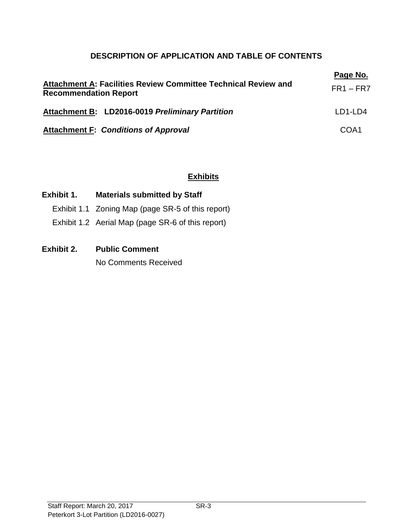## **DESCRIPTION OF APPLICATION AND TABLE OF CONTENTS**

| Attachment A: Facilities Review Committee Technical Review and<br><b>Recommendation Report</b> | Page No.<br>$FR1 - FR7$ |
|------------------------------------------------------------------------------------------------|-------------------------|
| Attachment B: LD2016-0019 Preliminary Partition                                                | LD1-LD4                 |
| <b>Attachment F: Conditions of Approval</b>                                                    | COA <sub>1</sub>        |

#### **Exhibits**

## **Exhibit 1. Materials submitted by Staff**

- Exhibit 1.1 Zoning Map (page SR-5 of this report)
- Exhibit 1.2 Aerial Map (page SR-6 of this report)

## **Exhibit 2. Public Comment**

No Comments Received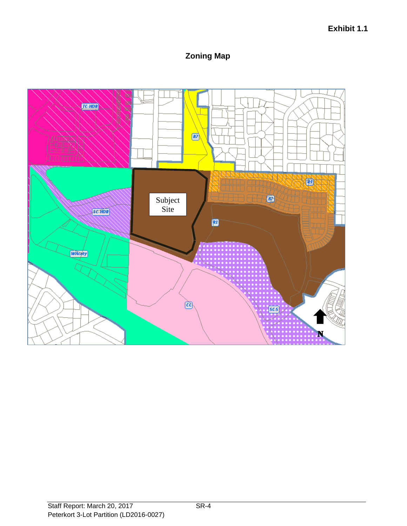## **Zoning Map**

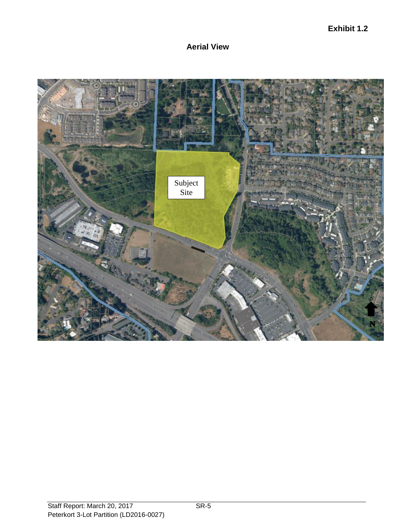## **Aerial View**

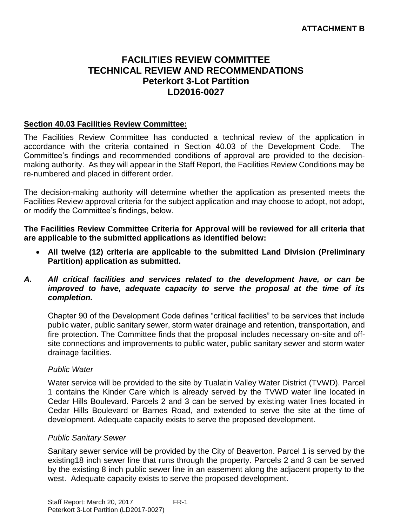## **FACILITIES REVIEW COMMITTEE TECHNICAL REVIEW AND RECOMMENDATIONS Peterkort 3-Lot Partition LD2016-0027**

## **Section 40.03 Facilities Review Committee:**

The Facilities Review Committee has conducted a technical review of the application in accordance with the criteria contained in Section 40.03 of the Development Code. The Committee's findings and recommended conditions of approval are provided to the decisionmaking authority. As they will appear in the Staff Report, the Facilities Review Conditions may be re-numbered and placed in different order.

The decision-making authority will determine whether the application as presented meets the Facilities Review approval criteria for the subject application and may choose to adopt, not adopt, or modify the Committee's findings, below.

**The Facilities Review Committee Criteria for Approval will be reviewed for all criteria that are applicable to the submitted applications as identified below:**

- **All twelve (12) criteria are applicable to the submitted Land Division (Preliminary Partition) application as submitted.**
- *A. All critical facilities and services related to the development have, or can be improved to have, adequate capacity to serve the proposal at the time of its completion.*

Chapter 90 of the Development Code defines "critical facilities" to be services that include public water, public sanitary sewer, storm water drainage and retention, transportation, and fire protection. The Committee finds that the proposal includes necessary on-site and offsite connections and improvements to public water, public sanitary sewer and storm water drainage facilities.

#### *Public Water*

Water service will be provided to the site by Tualatin Valley Water District (TVWD). Parcel 1 contains the Kinder Care which is already served by the TVWD water line located in Cedar Hills Boulevard. Parcels 2 and 3 can be served by existing water lines located in Cedar Hills Boulevard or Barnes Road, and extended to serve the site at the time of development. Adequate capacity exists to serve the proposed development.

#### *Public Sanitary Sewer*

Sanitary sewer service will be provided by the City of Beaverton. Parcel 1 is served by the existing18 inch sewer line that runs through the property. Parcels 2 and 3 can be served by the existing 8 inch public sewer line in an easement along the adjacent property to the west. Adequate capacity exists to serve the proposed development.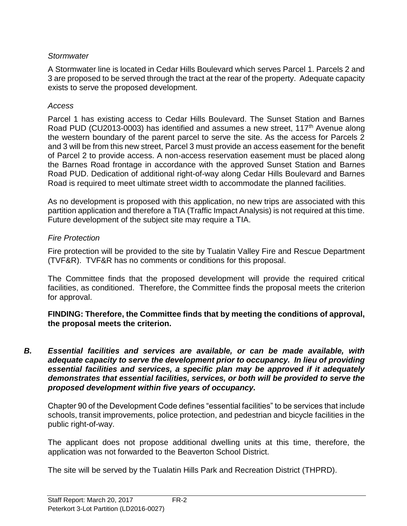## *Stormwater*

A Stormwater line is located in Cedar Hills Boulevard which serves Parcel 1. Parcels 2 and 3 are proposed to be served through the tract at the rear of the property. Adequate capacity exists to serve the proposed development.

## *Access*

Parcel 1 has existing access to Cedar Hills Boulevard. The Sunset Station and Barnes Road PUD (CU2013-0003) has identified and assumes a new street, 117<sup>th</sup> Avenue along the western boundary of the parent parcel to serve the site. As the access for Parcels 2 and 3 will be from this new street, Parcel 3 must provide an access easement for the benefit of Parcel 2 to provide access. A non-access reservation easement must be placed along the Barnes Road frontage in accordance with the approved Sunset Station and Barnes Road PUD. Dedication of additional right-of-way along Cedar Hills Boulevard and Barnes Road is required to meet ultimate street width to accommodate the planned facilities.

As no development is proposed with this application, no new trips are associated with this partition application and therefore a TIA (Traffic Impact Analysis) is not required at this time. Future development of the subject site may require a TIA.

## *Fire Protection*

Fire protection will be provided to the site by Tualatin Valley Fire and Rescue Department (TVF&R). TVF&R has no comments or conditions for this proposal.

The Committee finds that the proposed development will provide the required critical facilities, as conditioned. Therefore, the Committee finds the proposal meets the criterion for approval.

**FINDING: Therefore, the Committee finds that by meeting the conditions of approval, the proposal meets the criterion.** 

*B. Essential facilities and services are available, or can be made available, with adequate capacity to serve the development prior to occupancy. In lieu of providing essential facilities and services, a specific plan may be approved if it adequately demonstrates that essential facilities, services, or both will be provided to serve the proposed development within five years of occupancy.*

Chapter 90 of the Development Code defines "essential facilities" to be services that include schools, transit improvements, police protection, and pedestrian and bicycle facilities in the public right-of-way.

The applicant does not propose additional dwelling units at this time, therefore, the application was not forwarded to the Beaverton School District.

The site will be served by the Tualatin Hills Park and Recreation District (THPRD).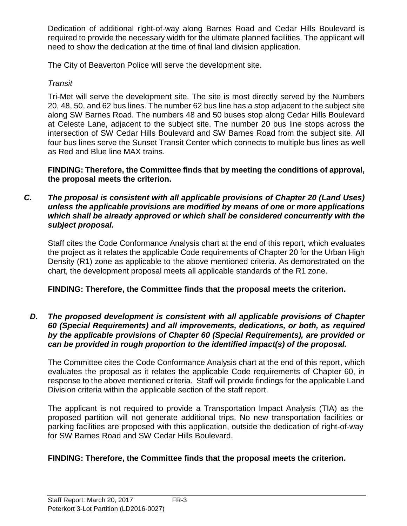Dedication of additional right-of-way along Barnes Road and Cedar Hills Boulevard is required to provide the necessary width for the ultimate planned facilities. The applicant will need to show the dedication at the time of final land division application.

The City of Beaverton Police will serve the development site.

## *Transit*

Tri-Met will serve the development site. The site is most directly served by the Numbers 20, 48, 50, and 62 bus lines. The number 62 bus line has a stop adjacent to the subject site along SW Barnes Road. The numbers 48 and 50 buses stop along Cedar Hills Boulevard at Celeste Lane, adjacent to the subject site. The number 20 bus line stops across the intersection of SW Cedar Hills Boulevard and SW Barnes Road from the subject site. All four bus lines serve the Sunset Transit Center which connects to multiple bus lines as well as Red and Blue line MAX trains.

**FINDING: Therefore, the Committee finds that by meeting the conditions of approval, the proposal meets the criterion.** 

*C. The proposal is consistent with all applicable provisions of Chapter 20 (Land Uses) unless the applicable provisions are modified by means of one or more applications which shall be already approved or which shall be considered concurrently with the subject proposal.*

Staff cites the Code Conformance Analysis chart at the end of this report, which evaluates the project as it relates the applicable Code requirements of Chapter 20 for the Urban High Density (R1) zone as applicable to the above mentioned criteria. As demonstrated on the chart, the development proposal meets all applicable standards of the R1 zone.

## **FINDING: Therefore, the Committee finds that the proposal meets the criterion.**

#### *D. The proposed development is consistent with all applicable provisions of Chapter 60 (Special Requirements) and all improvements, dedications, or both, as required by the applicable provisions of Chapter 60 (Special Requirements), are provided or can be provided in rough proportion to the identified impact(s) of the proposal.*

The Committee cites the Code Conformance Analysis chart at the end of this report, which evaluates the proposal as it relates the applicable Code requirements of Chapter 60, in response to the above mentioned criteria. Staff will provide findings for the applicable Land Division criteria within the applicable section of the staff report.

The applicant is not required to provide a Transportation Impact Analysis (TIA) as the proposed partition will not generate additional trips. No new transportation facilities or parking facilities are proposed with this application, outside the dedication of right-of-way for SW Barnes Road and SW Cedar Hills Boulevard.

## **FINDING: Therefore, the Committee finds that the proposal meets the criterion.**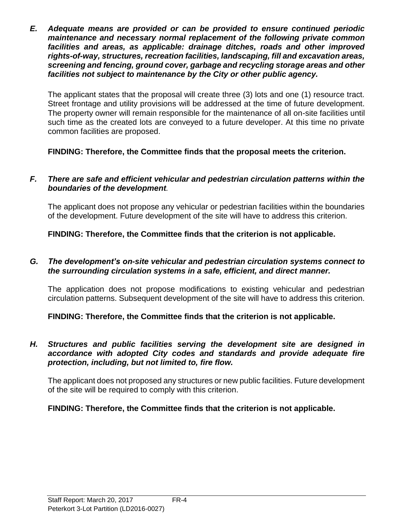*E. Adequate means are provided or can be provided to ensure continued periodic maintenance and necessary normal replacement of the following private common facilities and areas, as applicable: drainage ditches, roads and other improved rights-of-way, structures, recreation facilities, landscaping, fill and excavation areas, screening and fencing, ground cover, garbage and recycling storage areas and other facilities not subject to maintenance by the City or other public agency.*

The applicant states that the proposal will create three (3) lots and one (1) resource tract. Street frontage and utility provisions will be addressed at the time of future development. The property owner will remain responsible for the maintenance of all on-site facilities until such time as the created lots are conveyed to a future developer. At this time no private common facilities are proposed.

## **FINDING: Therefore, the Committee finds that the proposal meets the criterion.**

#### *F. There are safe and efficient vehicular and pedestrian circulation patterns within the boundaries of the development.*

The applicant does not propose any vehicular or pedestrian facilities within the boundaries of the development. Future development of the site will have to address this criterion.

**FINDING: Therefore, the Committee finds that the criterion is not applicable.** 

#### *G. The development's on-site vehicular and pedestrian circulation systems connect to the surrounding circulation systems in a safe, efficient, and direct manner.*

The application does not propose modifications to existing vehicular and pedestrian circulation patterns. Subsequent development of the site will have to address this criterion.

**FINDING: Therefore, the Committee finds that the criterion is not applicable.** 

#### *H. Structures and public facilities serving the development site are designed in accordance with adopted City codes and standards and provide adequate fire protection, including, but not limited to, fire flow.*

The applicant does not proposed any structures or new public facilities. Future development of the site will be required to comply with this criterion.

## **FINDING: Therefore, the Committee finds that the criterion is not applicable.**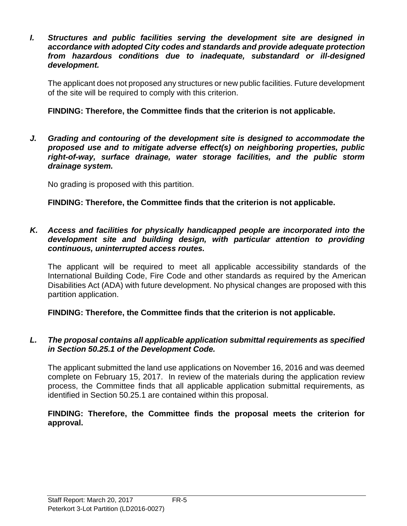*I. Structures and public facilities serving the development site are designed in accordance with adopted City codes and standards and provide adequate protection from hazardous conditions due to inadequate, substandard or ill-designed development.*

The applicant does not proposed any structures or new public facilities. Future development of the site will be required to comply with this criterion.

## **FINDING: Therefore, the Committee finds that the criterion is not applicable.**

*J. Grading and contouring of the development site is designed to accommodate the proposed use and to mitigate adverse effect(s) on neighboring properties, public right-of-way, surface drainage, water storage facilities, and the public storm drainage system.*

No grading is proposed with this partition.

**FINDING: Therefore, the Committee finds that the criterion is not applicable.**

#### *K. Access and facilities for physically handicapped people are incorporated into the development site and building design, with particular attention to providing continuous, uninterrupted access routes.*

The applicant will be required to meet all applicable accessibility standards of the International Building Code, Fire Code and other standards as required by the American Disabilities Act (ADA) with future development. No physical changes are proposed with this partition application.

**FINDING: Therefore, the Committee finds that the criterion is not applicable.**

#### *L. The proposal contains all applicable application submittal requirements as specified in Section 50.25.1 of the Development Code.*

The applicant submitted the land use applications on November 16, 2016 and was deemed complete on February 15, 2017. In review of the materials during the application review process, the Committee finds that all applicable application submittal requirements, as identified in Section 50.25.1 are contained within this proposal.

#### **FINDING: Therefore, the Committee finds the proposal meets the criterion for approval.**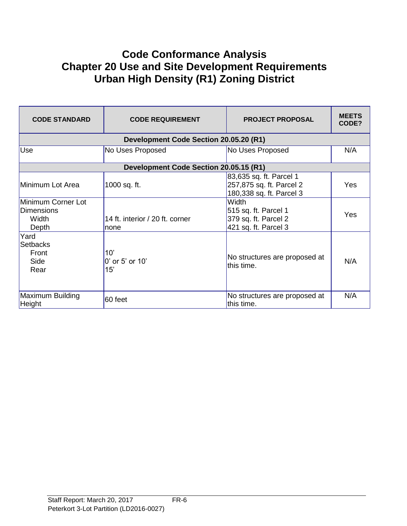## **Code Conformance Analysis Chapter 20 Use and Site Development Requirements Urban High Density (R1) Zoning District**

| <b>CODE STANDARD</b>                               | <b>CODE REQUIREMENT</b>                 | <b>PROJECT PROPOSAL</b>                                                              | <b>MEETS</b><br>CODE? |
|----------------------------------------------------|-----------------------------------------|--------------------------------------------------------------------------------------|-----------------------|
|                                                    | Development Code Section 20.05.20 (R1)  |                                                                                      |                       |
| Use                                                | No Uses Proposed                        | No Uses Proposed                                                                     | N/A                   |
|                                                    | Development Code Section 20.05.15 (R1)  |                                                                                      |                       |
| Minimum Lot Area                                   | 1000 sq. ft.                            | 83,635 sq. ft. Parcel 1<br>257,875 sq. ft. Parcel 2<br>180,338 sq. ft. Parcel 3      | <b>Yes</b>            |
| Minimum Corner Lot<br>Dimensions<br>Width<br>Depth | 14 ft. interior / 20 ft. corner<br>none | <b>Width</b><br>515 sq. ft. Parcel 1<br>379 sq. ft. Parcel 2<br>421 sq. ft. Parcel 3 | Yes                   |
| Yard<br><b>Setbacks</b><br>Front<br>Side<br>Rear   | 10'<br>0' or 5' or 10'<br>15'           | No structures are proposed at<br>this time.                                          | N/A                   |
| Maximum Building<br>Height                         | 60 feet                                 | No structures are proposed at<br>this time.                                          | N/A                   |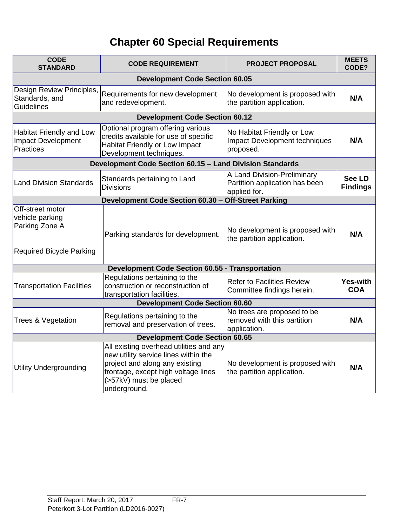# **Chapter 60 Special Requirements**

| <b>CODE</b><br><b>STANDARD</b>                                                           | <b>CODE REQUIREMENT</b>                                                                                                                                                                            | <b>PROJECT PROPOSAL</b>                                                       | <b>MEETS</b><br>CODE?            |
|------------------------------------------------------------------------------------------|----------------------------------------------------------------------------------------------------------------------------------------------------------------------------------------------------|-------------------------------------------------------------------------------|----------------------------------|
|                                                                                          | <b>Development Code Section 60.05</b>                                                                                                                                                              |                                                                               |                                  |
| Design Review Principles,<br>Standards, and<br><b>Guidelines</b>                         | Requirements for new development<br>and redevelopment.                                                                                                                                             | No development is proposed with<br>the partition application.                 | N/A                              |
|                                                                                          | <b>Development Code Section 60.12</b>                                                                                                                                                              |                                                                               |                                  |
| <b>Habitat Friendly and Low</b><br><b>Impact Development</b><br><b>Practices</b>         | Optional program offering various<br>credits available for use of specific<br>Habitat Friendly or Low Impact<br>Development techniques.                                                            | No Habitat Friendly or Low<br>Impact Development techniques<br>proposed.      | N/A                              |
|                                                                                          | Development Code Section 60.15 - Land Division Standards                                                                                                                                           |                                                                               |                                  |
| <b>Land Division Standards</b>                                                           | Standards pertaining to Land<br><b>Divisions</b>                                                                                                                                                   | A Land Division-Preliminary<br>Partition application has been<br>applied for. | <b>See LD</b><br><b>Findings</b> |
|                                                                                          | Development Code Section 60.30 - Off-Street Parking                                                                                                                                                |                                                                               |                                  |
| Off-street motor<br>vehicle parking<br>Parking Zone A<br><b>Required Bicycle Parking</b> | Parking standards for development.                                                                                                                                                                 | No development is proposed with<br>the partition application.                 | N/A                              |
| <b>Development Code Section 60.55 - Transportation</b>                                   |                                                                                                                                                                                                    |                                                                               |                                  |
| <b>Transportation Facilities</b>                                                         | Regulations pertaining to the<br>construction or reconstruction of<br>transportation facilities.                                                                                                   | <b>Refer to Facilities Review</b><br>Committee findings herein.               | <b>Yes-with</b><br><b>COA</b>    |
| <b>Development Code Section 60.60</b>                                                    |                                                                                                                                                                                                    |                                                                               |                                  |
| <b>Trees &amp; Vegetation</b>                                                            | Regulations pertaining to the<br>removal and preservation of trees.                                                                                                                                | No trees are proposed to be<br>removed with this partition<br>application.    | N/A                              |
| <b>Development Code Section 60.65</b>                                                    |                                                                                                                                                                                                    |                                                                               |                                  |
| <b>Utility Undergrounding</b>                                                            | All existing overhead utilities and any<br>new utility service lines within the<br>project and along any existing<br>frontage, except high voltage lines<br>(>57kV) must be placed<br>underground. | No development is proposed with<br>the partition application.                 | N/A                              |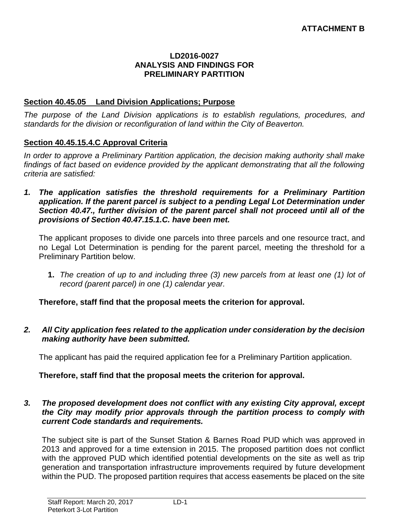#### **LD2016-0027 ANALYSIS AND FINDINGS FOR PRELIMINARY PARTITION**

#### **Section 40.45.05 Land Division Applications; Purpose**

*The purpose of the Land Division applications is to establish regulations, procedures, and standards for the division or reconfiguration of land within the City of Beaverton.* 

#### **Section 40.45.15.4.C Approval Criteria**

*In order to approve a Preliminary Partition application, the decision making authority shall make*  findings of fact based on evidence provided by the applicant demonstrating that all the following *criteria are satisfied:*

*1. The application satisfies the threshold requirements for a Preliminary Partition application. If the parent parcel is subject to a pending Legal Lot Determination under Section 40.47., further division of the parent parcel shall not proceed until all of the provisions of Section 40.47.15.1.C. have been met.*

The applicant proposes to divide one parcels into three parcels and one resource tract, and no Legal Lot Determination is pending for the parent parcel, meeting the threshold for a Preliminary Partition below.

**1.** *The creation of up to and including three (3) new parcels from at least one (1) lot of record (parent parcel) in one (1) calendar year.*

**Therefore, staff find that the proposal meets the criterion for approval.**

*2. All City application fees related to the application under consideration by the decision making authority have been submitted.*

The applicant has paid the required application fee for a Preliminary Partition application.

#### **Therefore, staff find that the proposal meets the criterion for approval.**

#### *3. The proposed development does not conflict with any existing City approval, except the City may modify prior approvals through the partition process to comply with current Code standards and requirements.*

The subject site is part of the Sunset Station & Barnes Road PUD which was approved in 2013 and approved for a time extension in 2015. The proposed partition does not conflict with the approved PUD which identified potential developments on the site as well as trip generation and transportation infrastructure improvements required by future development within the PUD. The proposed partition requires that access easements be placed on the site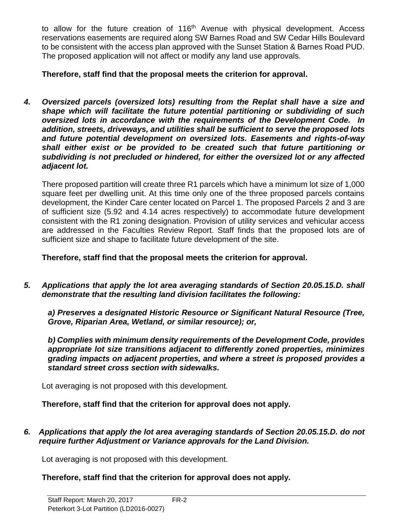to allow for the future creation of 116<sup>th</sup> Avenue with physical development. Access reservations easements are required along SW Barnes Road and SW Cedar Hills Boulevard to be consistent with the access plan approved with the Sunset Station & Barnes Road PUD. The proposed application will not affect or modify any land use approvals.

**Therefore, staff find that the proposal meets the criterion for approval.**

*4. Oversized parcels (oversized lots) resulting from the Replat shall have a size and shape which will facilitate the future potential partitioning or subdividing of such oversized lots in accordance with the requirements of the Development Code. In addition, streets, driveways, and utilities shall be sufficient to serve the proposed lots and future potential development on oversized lots. Easements and rights-of-way shall either exist or be provided to be created such that future partitioning or subdividing is not precluded or hindered, for either the oversized lot or any affected adjacent lot.*

There proposed partition will create three R1 parcels which have a minimum lot size of 1,000 square feet per dwelling unit. At this time only one of the three proposed parcels contains development, the Kinder Care center located on Parcel 1. The proposed Parcels 2 and 3 are of sufficient size (5.92 and 4.14 acres respectively) to accommodate future development consistent with the R1 zoning designation. Provision of utility services and vehicular access are addressed in the Faculties Review Report. Staff finds that the proposed lots are of sufficient size and shape to facilitate future development of the site.

**Therefore, staff find that the proposal meets the criterion for approval.**

*5. Applications that apply the lot area averaging standards of Section 20.05.15.D. shall demonstrate that the resulting land division facilitates the following:* 

*a) Preserves a designated Historic Resource or Significant Natural Resource (Tree, Grove, Riparian Area, Wetland, or similar resource); or,* 

*b) Complies with minimum density requirements of the Development Code, provides appropriate lot size transitions adjacent to differently zoned properties, minimizes grading impacts on adjacent properties, and where a street is proposed provides a standard street cross section with sidewalks.*

Lot averaging is not proposed with this development.

**Therefore, staff find that the criterion for approval does not apply.**

*6. Applications that apply the lot area averaging standards of Section 20.05.15.D. do not require further Adjustment or Variance approvals for the Land Division.*

Lot averaging is not proposed with this development.

**Therefore, staff find that the criterion for approval does not apply.**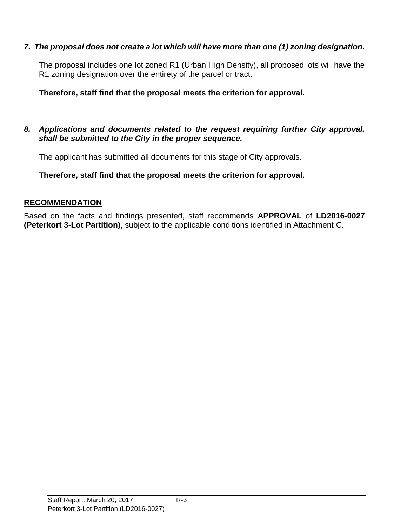## *7. The proposal does not create a lot which will have more than one (1) zoning designation.*

The proposal includes one lot zoned R1 (Urban High Density), all proposed lots will have the R1 zoning designation over the entirety of the parcel or tract.

## **Therefore, staff find that the proposal meets the criterion for approval.**

#### *8. Applications and documents related to the request requiring further City approval, shall be submitted to the City in the proper sequence.*

The applicant has submitted all documents for this stage of City approvals.

**Therefore, staff find that the proposal meets the criterion for approval.**

## **RECOMMENDATION**

Based on the facts and findings presented, staff recommends **APPROVAL** of **LD2016-0027 (Peterkort 3-Lot Partition)**, subject to the applicable conditions identified in Attachment C.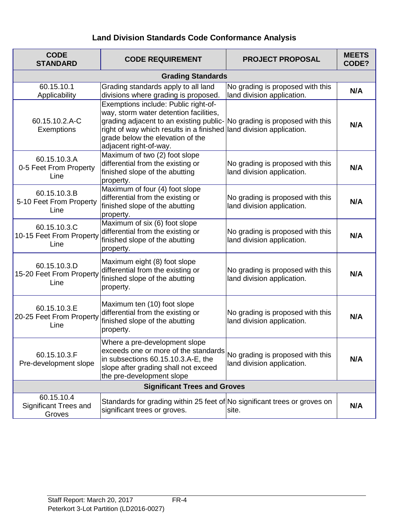## **Land Division Standards Code Conformance Analysis**

| <b>CODE</b><br><b>STANDARD</b>                       | <b>CODE REQUIREMENT</b>                                                                                                                                                                                                                                                                         | <b>PROJECT PROPOSAL</b>                                        | <b>MEETS</b><br>CODE? |
|------------------------------------------------------|-------------------------------------------------------------------------------------------------------------------------------------------------------------------------------------------------------------------------------------------------------------------------------------------------|----------------------------------------------------------------|-----------------------|
|                                                      | <b>Grading Standards</b>                                                                                                                                                                                                                                                                        |                                                                |                       |
| 60.15.10.1<br>Applicability                          | Grading standards apply to all land<br>divisions where grading is proposed.                                                                                                                                                                                                                     | No grading is proposed with this<br>land division application. | N/A                   |
| 60.15.10.2.A-C<br>Exemptions                         | Exemptions include: Public right-of-<br>way, storm water detention facilities,<br>grading adjacent to an existing public- No grading is proposed with this<br>right of way which results in a finished land division application.<br>grade below the elevation of the<br>adjacent right-of-way. |                                                                | N/A                   |
| 60.15.10.3.A<br>0-5 Feet From Property<br>Line       | Maximum of two (2) foot slope<br>differential from the existing or<br>finished slope of the abutting<br>property.                                                                                                                                                                               | No grading is proposed with this<br>land division application. | N/A                   |
| 60.15.10.3.B<br>5-10 Feet From Property<br>Line      | Maximum of four (4) foot slope<br>differential from the existing or<br>finished slope of the abutting<br>property.                                                                                                                                                                              | No grading is proposed with this<br>land division application. | N/A                   |
| 60.15.10.3.C<br>10-15 Feet From Property<br>Line     | Maximum of six (6) foot slope<br>differential from the existing or<br>finished slope of the abutting<br>property.                                                                                                                                                                               | No grading is proposed with this<br>land division application. | N/A                   |
| 60.15.10.3.D<br>15-20 Feet From Property<br>Line     | Maximum eight (8) foot slope<br>differential from the existing or<br>finished slope of the abutting<br>property.                                                                                                                                                                                | No grading is proposed with this<br>land division application. | N/A                   |
| 60.15.10.3.E<br>20-25 Feet From Property<br>Line     | Maximum ten (10) foot slope<br>differential from the existing or<br>finished slope of the abutting<br>property.                                                                                                                                                                                 | No grading is proposed with this<br>land division application. | N/A                   |
| 60.15.10.3.F<br>Pre-development slope                | Where a pre-development slope<br>exceeds one or more of the standards No grading is proposed with this<br>in subsections 60.15.10.3.A-E, the<br>slope after grading shall not exceed<br>the pre-development slope                                                                               | land division application.                                     | N/A                   |
| <b>Significant Trees and Groves</b>                  |                                                                                                                                                                                                                                                                                                 |                                                                |                       |
| 60.15.10.4<br><b>Significant Trees and</b><br>Groves | Standards for grading within 25 feet of No significant trees or groves on<br>significant trees or groves.                                                                                                                                                                                       | site.                                                          | N/A                   |